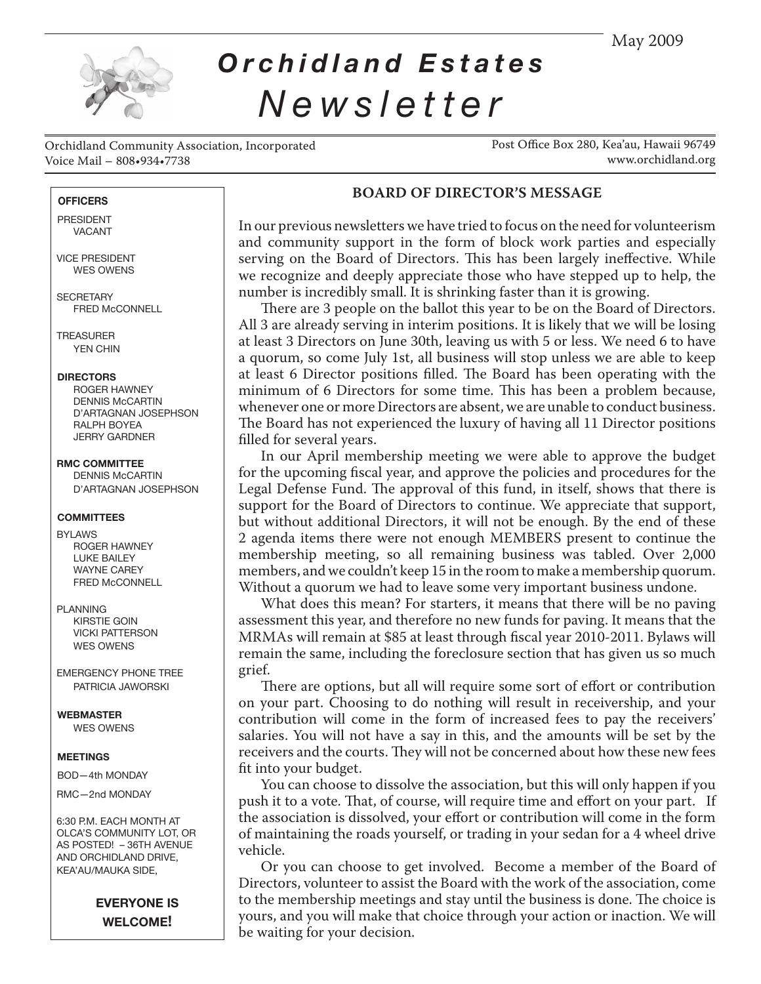May 2009



# *Orchidland Estates Newsletter*

Orchidland Community Association, Incorporated Voice Mail – 808•934•7738

Post Office Box 280, Kea'au, Hawaii 96749 www.orchidland.org

#### **OFFICERS**

 PRESIDENT VACANT

 VICE PRESIDENT WES OWENS

**SECRETARY** FRED McCONNELL

**TREASURER** YEN CHIN

#### **DIRECTORS**

ROGER HAWNEY DENNIS McCARTIN D'ARTAGNAN JOSEPHSON RALPH BOYEA JERRY GARDNER

 **RMC COMMITTEE** DENNIS McCARTIN

D'ARTAGNAN JOSEPHSON

#### **COMMITTEES**

- BYLAWS ROGER HAWNEY LUKE BAILEY WAYNE CAREY FRED McCONNELL
- PLANNING KIRSTIE GOIN VICKI PATTERSON WES OWENS

 EMERGENCY PHONE TREE PATRICIA JAWORSKI

 **WEBMASTER** WES OWENS

#### **MEETINGS**

BOD—4th MONDAY

RMC—2nd MONDAY

 6:30 P.M. EACH MONTH AT OLCA'S COMMUNITY LOT, OR AS POSTED! – 36TH AVENUE AND ORCHIDLAND DRIVE, KEA'AU/MAUKA SIDE,

## **EVERYONE IS WELCOME!**

## **BOARD OF DIRECTOR'S MESSAGE**

In our previous newsletters we have tried to focus on the need for volunteerism and community support in the form of block work parties and especially serving on the Board of Directors. This has been largely ineffective. While we recognize and deeply appreciate those who have stepped up to help, the number is incredibly small. It is shrinking faster than it is growing.

There are 3 people on the ballot this year to be on the Board of Directors. All 3 are already serving in interim positions. It is likely that we will be losing at least 3 Directors on June 30th, leaving us with 5 or less. We need 6 to have a quorum, so come July 1st, all business will stop unless we are able to keep at least 6 Director positions filled. The Board has been operating with the minimum of 6 Directors for some time. This has been a problem because, whenever one or more Directors are absent, we are unable to conduct business. The Board has not experienced the luxury of having all 11 Director positions filled for several years.

In our April membership meeting we were able to approve the budget for the upcoming fiscal year, and approve the policies and procedures for the Legal Defense Fund. The approval of this fund, in itself, shows that there is support for the Board of Directors to continue. We appreciate that support, but without additional Directors, it will not be enough. By the end of these 2 agenda items there were not enough MEMBERS present to continue the membership meeting, so all remaining business was tabled. Over 2,000 members, and we couldn't keep 15 in the room to make a membership quorum. Without a quorum we had to leave some very important business undone.

What does this mean? For starters, it means that there will be no paving assessment this year, and therefore no new funds for paving. It means that the MRMAs will remain at \$85 at least through fiscal year 2010-2011. Bylaws will remain the same, including the foreclosure section that has given us so much grief.

There are options, but all will require some sort of effort or contribution on your part. Choosing to do nothing will result in receivership, and your contribution will come in the form of increased fees to pay the receivers' salaries. You will not have a say in this, and the amounts will be set by the receivers and the courts. They will not be concerned about how these new fees fit into your budget.

You can choose to dissolve the association, but this will only happen if you push it to a vote. That, of course, will require time and effort on your part. If the association is dissolved, your effort or contribution will come in the form of maintaining the roads yourself, or trading in your sedan for a 4 wheel drive vehicle.

Or you can choose to get involved. Become a member of the Board of Directors, volunteer to assist the Board with the work of the association, come to the membership meetings and stay until the business is done. The choice is yours, and you will make that choice through your action or inaction. We will be waiting for your decision.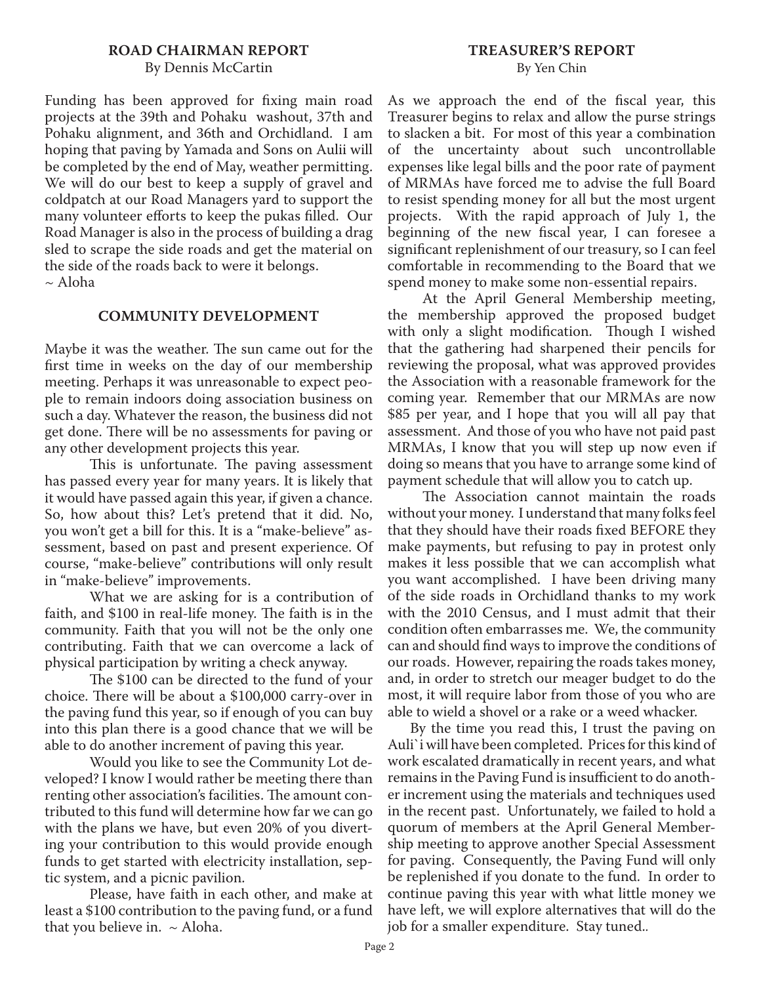## **ROAD CHAIRMAN REPORT** By Dennis McCartin

Funding has been approved for fixing main road projects at the 39th and Pohaku washout, 37th and Pohaku alignment, and 36th and Orchidland. I am hoping that paving by Yamada and Sons on Aulii will be completed by the end of May, weather permitting. We will do our best to keep a supply of gravel and coldpatch at our Road Managers yard to support the many volunteer efforts to keep the pukas filled. Our Road Manager is also in the process of building a drag sled to scrape the side roads and get the material on the side of the roads back to were it belongs.  $\sim$  Aloha

### **COMMUNITY DEVELOPMENT**

Maybe it was the weather. The sun came out for the first time in weeks on the day of our membership meeting. Perhaps it was unreasonable to expect people to remain indoors doing association business on such a day. Whatever the reason, the business did not get done. There will be no assessments for paving or any other development projects this year.

This is unfortunate. The paving assessment has passed every year for many years. It is likely that it would have passed again this year, if given a chance. So, how about this? Let's pretend that it did. No, you won't get a bill for this. It is a "make-believe" assessment, based on past and present experience. Of course, "make-believe" contributions will only result in "make-believe" improvements.

What we are asking for is a contribution of faith, and \$100 in real-life money. The faith is in the community. Faith that you will not be the only one contributing. Faith that we can overcome a lack of physical participation by writing a check anyway.

The \$100 can be directed to the fund of your choice. There will be about a \$100,000 carry-over in the paving fund this year, so if enough of you can buy into this plan there is a good chance that we will be able to do another increment of paving this year.

Would you like to see the Community Lot developed? I know I would rather be meeting there than renting other association's facilities. The amount contributed to this fund will determine how far we can go with the plans we have, but even 20% of you diverting your contribution to this would provide enough funds to get started with electricity installation, septic system, and a picnic pavilion.

Please, have faith in each other, and make at least a \$100 contribution to the paving fund, or a fund that you believe in.  $\sim$  Aloha.

As we approach the end of the fiscal year, this Treasurer begins to relax and allow the purse strings to slacken a bit. For most of this year a combination of the uncertainty about such uncontrollable expenses like legal bills and the poor rate of payment of MRMAs have forced me to advise the full Board to resist spending money for all but the most urgent projects. With the rapid approach of July 1, the beginning of the new fiscal year, I can foresee a significant replenishment of our treasury, so I can feel comfortable in recommending to the Board that we spend money to make some non-essential repairs.

At the April General Membership meeting, the membership approved the proposed budget with only a slight modification. Though I wished that the gathering had sharpened their pencils for reviewing the proposal, what was approved provides the Association with a reasonable framework for the coming year. Remember that our MRMAs are now \$85 per year, and I hope that you will all pay that assessment. And those of you who have not paid past MRMAs, I know that you will step up now even if doing so means that you have to arrange some kind of payment schedule that will allow you to catch up.

The Association cannot maintain the roads without your money. I understand that many folks feel that they should have their roads fixed BEFORE they make payments, but refusing to pay in protest only makes it less possible that we can accomplish what you want accomplished. I have been driving many of the side roads in Orchidland thanks to my work with the 2010 Census, and I must admit that their condition often embarrasses me. We, the community can and should find ways to improve the conditions of our roads. However, repairing the roads takes money, and, in order to stretch our meager budget to do the most, it will require labor from those of you who are able to wield a shovel or a rake or a weed whacker.

By the time you read this, I trust the paving on Auli`i will have been completed. Prices for this kind of work escalated dramatically in recent years, and what remains in the Paving Fund is insufficient to do another increment using the materials and techniques used in the recent past. Unfortunately, we failed to hold a quorum of members at the April General Membership meeting to approve another Special Assessment for paving. Consequently, the Paving Fund will only be replenished if you donate to the fund. In order to continue paving this year with what little money we have left, we will explore alternatives that will do the job for a smaller expenditure. Stay tuned..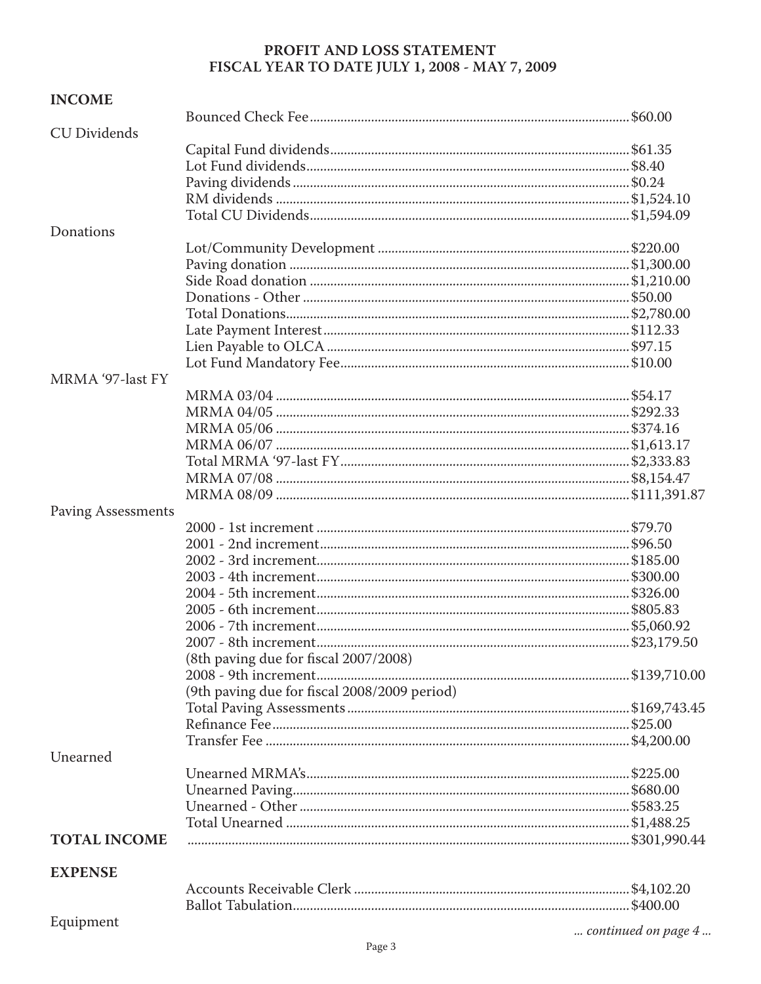# PROFIT AND LOSS STATEMENT FISCAL YEAR TO DATE JULY 1, 2008 - MAY 7, 2009

| <b>INCOME</b>             |                                              |                     |
|---------------------------|----------------------------------------------|---------------------|
|                           |                                              |                     |
| <b>CU Dividends</b>       |                                              |                     |
|                           |                                              |                     |
|                           |                                              |                     |
|                           |                                              |                     |
|                           |                                              |                     |
| Donations                 |                                              |                     |
|                           |                                              |                     |
|                           |                                              |                     |
|                           |                                              |                     |
|                           |                                              |                     |
|                           |                                              |                     |
|                           |                                              |                     |
|                           |                                              |                     |
|                           |                                              |                     |
| MRMA '97-last FY          |                                              |                     |
|                           |                                              |                     |
|                           |                                              |                     |
|                           |                                              |                     |
|                           |                                              |                     |
|                           |                                              |                     |
|                           |                                              |                     |
|                           |                                              |                     |
|                           |                                              |                     |
| <b>Paving Assessments</b> |                                              |                     |
|                           |                                              |                     |
|                           |                                              |                     |
|                           |                                              |                     |
|                           |                                              |                     |
|                           |                                              |                     |
|                           |                                              |                     |
|                           |                                              |                     |
|                           |                                              |                     |
|                           | (8th paving due for fiscal 2007/2008)        |                     |
|                           |                                              |                     |
|                           | (9th paving due for fiscal 2008/2009 period) |                     |
|                           |                                              |                     |
|                           |                                              |                     |
|                           |                                              |                     |
| Unearned                  |                                              |                     |
|                           |                                              |                     |
|                           |                                              |                     |
|                           |                                              |                     |
|                           |                                              |                     |
| <b>TOTAL INCOME</b>       |                                              |                     |
|                           |                                              |                     |
| <b>EXPENSE</b>            |                                              |                     |
|                           |                                              |                     |
| Equipment                 |                                              |                     |
|                           |                                              | continued on page 4 |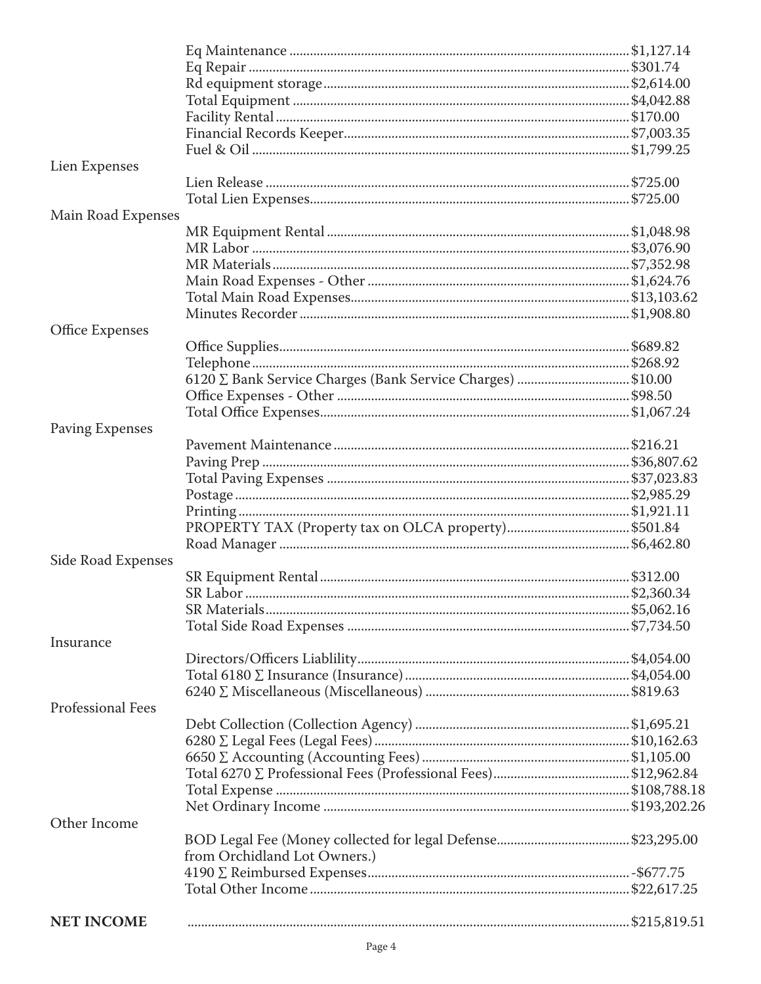| Lien Expenses          |                                                            |  |
|------------------------|------------------------------------------------------------|--|
|                        |                                                            |  |
|                        |                                                            |  |
| Main Road Expenses     |                                                            |  |
|                        |                                                            |  |
|                        |                                                            |  |
|                        |                                                            |  |
|                        |                                                            |  |
|                        |                                                            |  |
|                        |                                                            |  |
| Office Expenses        |                                                            |  |
|                        |                                                            |  |
|                        |                                                            |  |
|                        | 6120 ∑ Bank Service Charges (Bank Service Charges) \$10.00 |  |
|                        |                                                            |  |
|                        |                                                            |  |
|                        |                                                            |  |
| <b>Paving Expenses</b> |                                                            |  |
|                        |                                                            |  |
|                        |                                                            |  |
|                        |                                                            |  |
|                        |                                                            |  |
|                        |                                                            |  |
|                        |                                                            |  |
|                        |                                                            |  |
| Side Road Expenses     |                                                            |  |
|                        |                                                            |  |
|                        |                                                            |  |
|                        |                                                            |  |
|                        |                                                            |  |
| Insurance              |                                                            |  |
|                        |                                                            |  |
|                        |                                                            |  |
|                        |                                                            |  |
| Professional Fees      |                                                            |  |
|                        |                                                            |  |
|                        |                                                            |  |
|                        |                                                            |  |
|                        |                                                            |  |
|                        |                                                            |  |
|                        |                                                            |  |
| Other Income           |                                                            |  |
|                        |                                                            |  |
|                        | from Orchidland Lot Owners.)                               |  |
|                        |                                                            |  |
|                        |                                                            |  |
|                        |                                                            |  |
| <b>NET INCOME</b>      |                                                            |  |
|                        |                                                            |  |